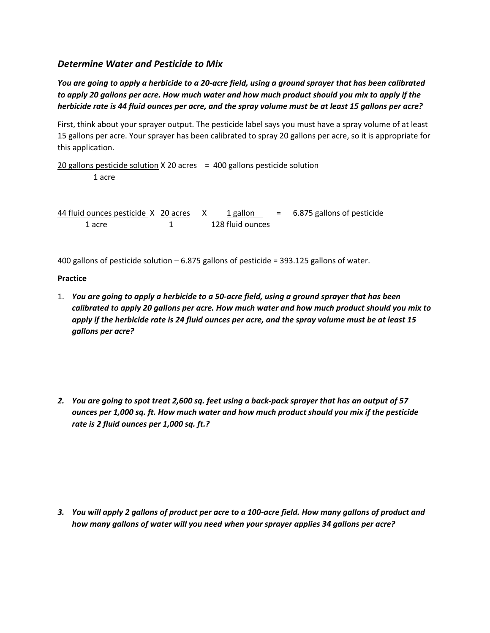## *Determine Water and Pesticide to Mix*

*You are going to apply a herbicide to a 20-acre field, using a ground sprayer that has been calibrated to apply 20 gallons per acre. How much water and how much product should you mix to apply if the herbicide rate is 44 fluid ounces per acre, and the spray volume must be at least 15 gallons per acre?*

First, think about your sprayer output. The pesticide label says you must have a spray volume of at least 15 gallons per acre. Your sprayer has been calibrated to spray 20 gallons per acre, so it is appropriate for this application.

20 gallons pesticide solution  $X$  20 acres = 400 gallons pesticide solution 1 acre

44 fluid ounces pesticide  $X = 20$  acres  $X = 1$  gallon  $= 6.875$  gallons of pesticide 1 acre 1 128 fluid ounces

400 gallons of pesticide solution – 6.875 gallons of pesticide = 393.125 gallons of water.

## **Practice**

- 1. *You are going to apply a herbicide to a 50-acre field, using a ground sprayer that has been calibrated to apply 20 gallons per acre. How much water and how much product should you mix to apply if the herbicide rate is 24 fluid ounces per acre, and the spray volume must be at least 15 gallons per acre?*
- *2. You are going to spot treat 2,600 sq. feet using a back-pack sprayer that has an output of 57 ounces per 1,000 sq. ft. How much water and how much product should you mix if the pesticide rate is 2 fluid ounces per 1,000 sq. ft.?*

*3. You will apply 2 gallons of product per acre to a 100-acre field. How many gallons of product and how many gallons of water will you need when your sprayer applies 34 gallons per acre?*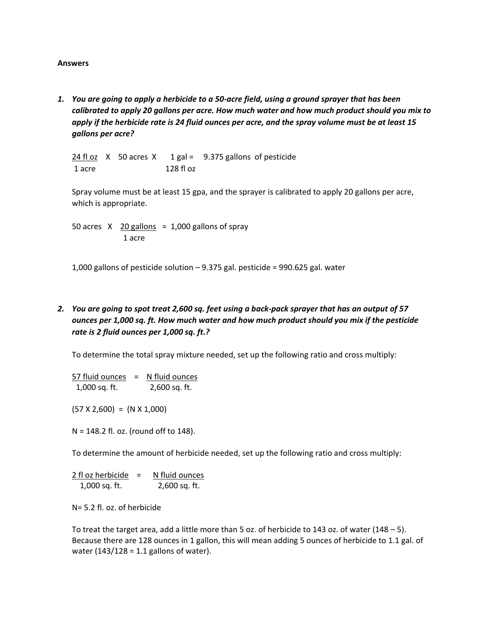## **Answers**

*1. You are going to apply a herbicide to a 50-acre field, using a ground sprayer that has been calibrated to apply 20 gallons per acre. How much water and how much product should you mix to apply if the herbicide rate is 24 fluid ounces per acre, and the spray volume must be at least 15 gallons per acre?*

 $24$  fl oz  $X$  50 acres  $X$  1 gal = 9.375 gallons of pesticide 1 acre 128 fl oz

Spray volume must be at least 15 gpa, and the sprayer is calibrated to apply 20 gallons per acre, which is appropriate.

50 acres  $X$  20 gallons = 1,000 gallons of spray 1 acre

1,000 gallons of pesticide solution – 9.375 gal. pesticide = 990.625 gal. water

*2. You are going to spot treat 2,600 sq. feet using a back-pack sprayer that has an output of 57 ounces per 1,000 sq. ft. How much water and how much product should you mix if the pesticide rate is 2 fluid ounces per 1,000 sq. ft.?* 

To determine the total spray mixture needed, set up the following ratio and cross multiply:

 $57$  fluid ounces = N fluid ounces 1,000 sq. ft. 2,600 sq. ft.

 $(57 X 2,600) = (N X 1,000)$ 

N = 148.2 fl. oz. (round off to 148).

To determine the amount of herbicide needed, set up the following ratio and cross multiply:

 $2$  fl oz herbicide = N fluid ounces 1,000 sq. ft. 2,600 sq. ft.

N= 5.2 fl. oz. of herbicide

To treat the target area, add a little more than 5 oz. of herbicide to 143 oz. of water (148 – 5). Because there are 128 ounces in 1 gallon, this will mean adding 5 ounces of herbicide to 1.1 gal. of water  $(143/128 = 1.1$  gallons of water).